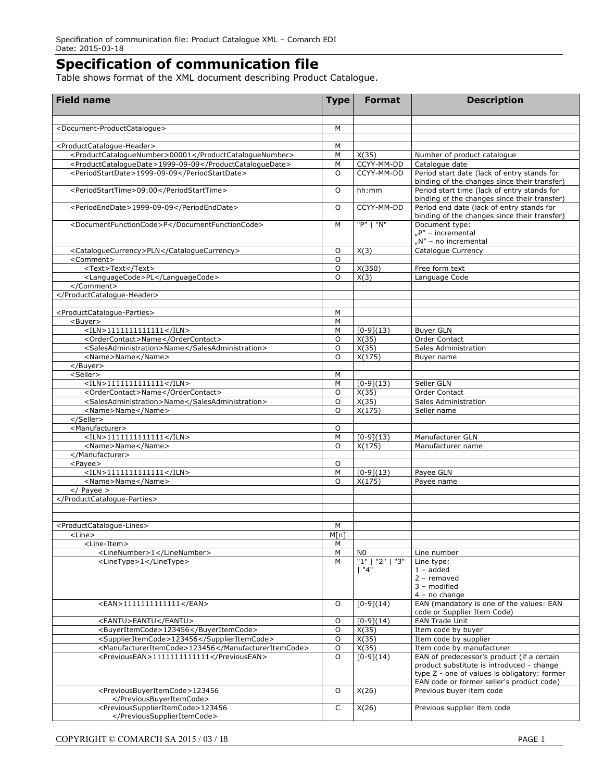## **Specification of communication file**

Table shows format of the XML document describing Product Catalogue.

| <b>Field name</b>                                                | <b>Type</b> | <b>Format</b>     | <b>Description</b>                                                                                                                      |
|------------------------------------------------------------------|-------------|-------------------|-----------------------------------------------------------------------------------------------------------------------------------------|
|                                                                  |             |                   |                                                                                                                                         |
| <document-productcataloque></document-productcataloque>          | М           |                   |                                                                                                                                         |
| <productcataloque-header></productcataloque-header>              | М           |                   |                                                                                                                                         |
| <productcataloguenumber>00001</productcataloguenumber>           | M           | X(35)             | Number of product catalogue                                                                                                             |
| <productcataloguedate>1999-09-09</productcataloguedate>          | М           | CCYY-MM-DD        | Catalogue date                                                                                                                          |
| <periodstartdate>1999-09-09</periodstartdate>                    | $\circ$     | CCYY-MM-DD        | Period start date (lack of entry stands for<br>binding of the changes since their transfer)                                             |
| <periodstarttime>09:00</periodstarttime>                         | $\circ$     | hh:mm             | Period start time (lack of entry stands for<br>binding of the changes since their transfer)                                             |
| <periodenddate>1999-09-09</periodenddate>                        | O           | CCYY-MM-DD        | Period end date (lack of entry stands for<br>binding of the changes since their transfer)                                               |
| <documentfunctioncode>P</documentfunctioncode>                   | M           | "P"   "N"         | Document type:<br>"P" - incremental<br>"N" - no incremental                                                                             |
| <cataloguecurrency>PLN</cataloguecurrency>                       | O           | X(3)              | Catalogue Currency                                                                                                                      |
| <comment></comment>                                              | O           |                   |                                                                                                                                         |
| <text>Text</text>                                                | O           | X(350)            | Free form text                                                                                                                          |
| <languagecode>PL</languagecode>                                  | $\circ$     | X(3)              | Language Code                                                                                                                           |
|                                                                  |             |                   |                                                                                                                                         |
|                                                                  |             |                   |                                                                                                                                         |
| <productcatalogue-parties></productcatalogue-parties>            | М           |                   |                                                                                                                                         |
| <buyer></buyer>                                                  | M           |                   |                                                                                                                                         |
| $<$ ILN>11111111111111                                           | M           | $[0-9](13)$       | <b>Buyer GLN</b>                                                                                                                        |
| <ordercontact>Name</ordercontact>                                | O           | X(35)             | Order Contact                                                                                                                           |
| <salesadministration>Name</salesadministration>                  | O           | X(35)             | Sales Administration                                                                                                                    |
| <name>Name</name>                                                | O           | X(175)            | Buyer name                                                                                                                              |
|                                                                  |             |                   |                                                                                                                                         |
| <seller></seller>                                                | М           |                   |                                                                                                                                         |
| $<$ ILN>1111111111111                                            | M           | $[0-9](13)$       | Seller GLN                                                                                                                              |
| <ordercontact>Name</ordercontact>                                | O           | X(35)             | Order Contact                                                                                                                           |
| <salesadministration>Name</salesadministration>                  | O           | X(35)             | Sales Administration                                                                                                                    |
| <name>Name</name>                                                | $\circ$     | X(175)            | Seller name                                                                                                                             |
| <br><manufacturer></manufacturer>                                | O           |                   |                                                                                                                                         |
| $<$ ILN>1111111111111                                            | M           | $[0-9](13)$       | Manufacturer GLN                                                                                                                        |
| <name>Name</name>                                                | O           | X(175)            | Manufacturer name                                                                                                                       |
|                                                                  |             |                   |                                                                                                                                         |
| <payee></payee>                                                  | O           |                   |                                                                                                                                         |
| $<$ ILN>1111111111111                                            | M           | $[0-9](13)$       | Payee GLN                                                                                                                               |
| <name>Name</name>                                                | O           | X(175)            | Payee name                                                                                                                              |
| $\langle$ Payee >                                                |             |                   |                                                                                                                                         |
|                                                                  |             |                   |                                                                                                                                         |
|                                                                  |             |                   |                                                                                                                                         |
| <productcatalogue-lines></productcatalogue-lines>                | M           |                   |                                                                                                                                         |
| <line></line>                                                    | M[n]        |                   |                                                                                                                                         |
| <line-item></line-item>                                          | M           |                   |                                                                                                                                         |
| <linenumber>1</linenumber>                                       | M           | N <sub>0</sub>    | Line number                                                                                                                             |
| <linetype>1</linetype>                                           | M           | "1"<br>"2"<br>"3" | Line type:                                                                                                                              |
|                                                                  |             | 1"4"              | $1 - added$                                                                                                                             |
|                                                                  |             |                   | $2$ – removed<br>3 - modified<br>$4 - no change$                                                                                        |
| <ean>1111111111111</ean>                                         | O           | $[0-9](14)$       | EAN (mandatory is one of the values: EAN<br>code or Supplier Item Code)                                                                 |
| <eantu>EANTU</eantu>                                             | O           | $[0-9](14)$       | <b>EAN Trade Unit</b>                                                                                                                   |
| <buyeritemcode>123456</buyeritemcode>                            | O           | X(35)             | Item code by buyer                                                                                                                      |
| <supplieritemcode>123456</supplieritemcode>                      | O           | X(35)             | Item code by supplier                                                                                                                   |
| <manufactureritemcode>123456</manufactureritemcode>              | O           | X(35)             | Item code by manufacturer                                                                                                               |
| <previousean>1111111111111</previousean>                         | O           | $[0-9](14)$       | EAN of predecessor's product (if a certain<br>product substitute is introduced - change<br>type Z - one of values is obligatory: former |
| <previousbuyeritemcode>123456<br/></previousbuyeritemcode>       | O           | X(26)             | EAN code or former seller's product code)<br>Previous buyer item code                                                                   |
| <previoussupplieritemcode>123456<br/></previoussupplieritemcode> | C           | X(26)             | Previous supplier item code                                                                                                             |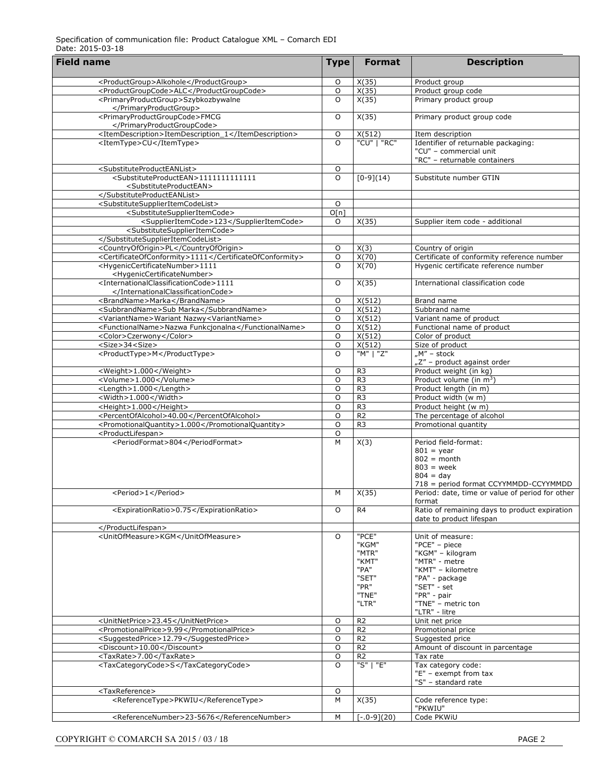| <b>Field name</b>                                                                                                   | <b>Type</b>    | <b>Format</b>                                                               | <b>Description</b>                                                                                                                                                                 |
|---------------------------------------------------------------------------------------------------------------------|----------------|-----------------------------------------------------------------------------|------------------------------------------------------------------------------------------------------------------------------------------------------------------------------------|
| <productgroup>Alkohole</productgroup>                                                                               | O              | X(35)                                                                       | Product group                                                                                                                                                                      |
| <productgroupcode>ALC</productgroupcode>                                                                            | $\circ$        | X(35)                                                                       | Product group code                                                                                                                                                                 |
| <primaryproductgroup>Szybkozbywalne<br/></primaryproductgroup>                                                      | $\circ$        | X(35)                                                                       | Primary product group                                                                                                                                                              |
| <primaryproductgroupcode>FMCG<br/></primaryproductgroupcode>                                                        | O              | X(35)                                                                       | Primary product group code                                                                                                                                                         |
| <itemdescription>ItemDescription_1</itemdescription>                                                                |                | X(512)                                                                      |                                                                                                                                                                                    |
| <itemtype>CU</itemtype>                                                                                             | O<br>$\Omega$  | "CU"   "RC"                                                                 | Item description<br>Identifier of returnable packaging:                                                                                                                            |
|                                                                                                                     |                |                                                                             | "CU" - commercial unit<br>"RC" - returnable containers                                                                                                                             |
| <substituteproducteanlist></substituteproducteanlist>                                                               | O              |                                                                             |                                                                                                                                                                                    |
| <substituteproductean>1111111111111<br/><substituteproductean></substituteproductean></substituteproductean>        | $\circ$        | $[0-9](14)$                                                                 | Substitute number GTIN                                                                                                                                                             |
|                                                                                                                     |                |                                                                             |                                                                                                                                                                                    |
| <substitutesupplieritemcodelist></substitutesupplieritemcodelist>                                                   | O              |                                                                             |                                                                                                                                                                                    |
| <substitutesupplieritemcode></substitutesupplieritemcode>                                                           | O[n]           |                                                                             |                                                                                                                                                                                    |
| <supplieritemcode>123</supplieritemcode>                                                                            | O              | X(35)                                                                       | Supplier item code - additional                                                                                                                                                    |
| <substitutesupplieritemcode></substitutesupplieritemcode>                                                           |                |                                                                             |                                                                                                                                                                                    |
|                                                                                                                     |                |                                                                             |                                                                                                                                                                                    |
| <countryoforigin>PL</countryoforigin>                                                                               | $\mathsf O$    | X(3)                                                                        | Country of origin                                                                                                                                                                  |
| <certificateofconformity>1111</certificateofconformity>                                                             | O              | X(70)                                                                       | Certificate of conformity reference number                                                                                                                                         |
| <hygeniccertificatenumber>1111<br/><hygeniccertificatenumber></hygeniccertificatenumber></hygeniccertificatenumber> | $\circ$        | X(70)                                                                       | Hygenic certificate reference number                                                                                                                                               |
| <internationalclassificationcode>1111<br/></internationalclassificationcode>                                        | O              | X(35)                                                                       | International classification code                                                                                                                                                  |
| <brandname>Marka</brandname>                                                                                        | O              | X(512)                                                                      | Brand name                                                                                                                                                                         |
| <subbrandname>Sub Marka</subbrandname>                                                                              | O              | X(512)                                                                      | Subbrand name                                                                                                                                                                      |
| <variantname>Wariant Nazwy<variantname></variantname></variantname>                                                 | O              | $\overline{X(512)}$                                                         | Variant name of product                                                                                                                                                            |
| <functionalname>Nazwa Funkcjonalna</functionalname>                                                                 | O              | X(512)                                                                      | Functional name of product                                                                                                                                                         |
| <color>Czerwony</color>                                                                                             | O              | X(512)                                                                      | Color of product                                                                                                                                                                   |
| <size>34<size></size></size>                                                                                        | O              | $\overline{X(512)}$                                                         | Size of product                                                                                                                                                                    |
| <producttype>M</producttype>                                                                                        | $\circ$        | "M"   "Z"                                                                   | " $M''$ – stock                                                                                                                                                                    |
|                                                                                                                     |                |                                                                             | "Z" - product against order                                                                                                                                                        |
| <weight>1.000</weight>                                                                                              | O              | R <sub>3</sub>                                                              | Product weight (in kg)                                                                                                                                                             |
| <volume>1.000</volume>                                                                                              | O              | R <sub>3</sub>                                                              | Product volume (in m <sup>3</sup> )                                                                                                                                                |
| <length>1.000</length>                                                                                              | O              | R <sub>3</sub>                                                              | Product length (in m)                                                                                                                                                              |
| <width>1.000</width>                                                                                                | O              | R <sub>3</sub>                                                              | Product width (w m)                                                                                                                                                                |
| <height>1.000</height>                                                                                              | O              | R <sub>3</sub>                                                              | Product height (w m)                                                                                                                                                               |
| <percentofalcohol>40.00</percentofalcohol>                                                                          | O<br>O         | R <sub>2</sub>                                                              | The percentage of alcohol<br>Promotional quantity                                                                                                                                  |
| <promotionalquantity>1.000</promotionalquantity><br><productlifespan></productlifespan>                             | O              | R <sub>3</sub>                                                              |                                                                                                                                                                                    |
| <periodformat>804</periodformat>                                                                                    | $\overline{M}$ |                                                                             | Period field-format:                                                                                                                                                               |
|                                                                                                                     |                | X(3)                                                                        | $801 = year$<br>$802 = month$<br>$803$ = week<br>$804 = day$<br>718 = period format CCYYMMDD-CCYYMMDD                                                                              |
| <period>1</period>                                                                                                  | М              | X(35)                                                                       | Period: date, time or value of period for other                                                                                                                                    |
|                                                                                                                     |                |                                                                             | format                                                                                                                                                                             |
| <expirationratio>0.75</expirationratio>                                                                             | O              | R4                                                                          | Ratio of remaining days to product expiration<br>date to product lifespan                                                                                                          |
|                                                                                                                     |                |                                                                             |                                                                                                                                                                                    |
| <unitofmeasure>KGM</unitofmeasure>                                                                                  | O              | "PCE"<br>"KGM"<br>"MTR"<br>"KMT"<br>"PA"<br>"SET"<br>"PR"<br>"TNE"<br>"LTR" | Unit of measure:<br>"PCE" - piece<br>"KGM" - kilogram<br>"MTR" - metre<br>"KMT" - kilometre<br>"PA" - package<br>"SET" - set<br>"PR" - pair<br>"TNE" - metric ton<br>"LTR" - litre |
| <unitnetprice>23.45</unitnetprice>                                                                                  | O              | R <sub>2</sub>                                                              | Unit net price                                                                                                                                                                     |
| <promotionalprice>9.99</promotionalprice>                                                                           | O              | R <sub>2</sub>                                                              | Promotional price                                                                                                                                                                  |
| <suggestedprice>12.79</suggestedprice>                                                                              | $\mathsf O$    | R <sub>2</sub>                                                              | Suggested price                                                                                                                                                                    |
| <discount>10.00</discount>                                                                                          | $\circ$        | R <sub>2</sub>                                                              | Amount of discount in parcentage                                                                                                                                                   |
| <taxrate>7.00</taxrate>                                                                                             | $\overline{O}$ | R <sub>2</sub>                                                              | Tax rate                                                                                                                                                                           |
| <taxcategorycode>S</taxcategorycode>                                                                                | $\circ$        | "S"   "E"                                                                   | Tax category code:<br>"E" - exempt from tax<br>"S" - standard rate                                                                                                                 |
| <taxreference></taxreference>                                                                                       | O              |                                                                             |                                                                                                                                                                                    |
| <referencetype>PKWIU</referencetype>                                                                                | M              | X(35)                                                                       | Code reference type:<br>"PKWIU"                                                                                                                                                    |
| <referencenumber>23-5676</referencenumber>                                                                          | М              | $[-.0-9](20)$                                                               | Code PKWiU                                                                                                                                                                         |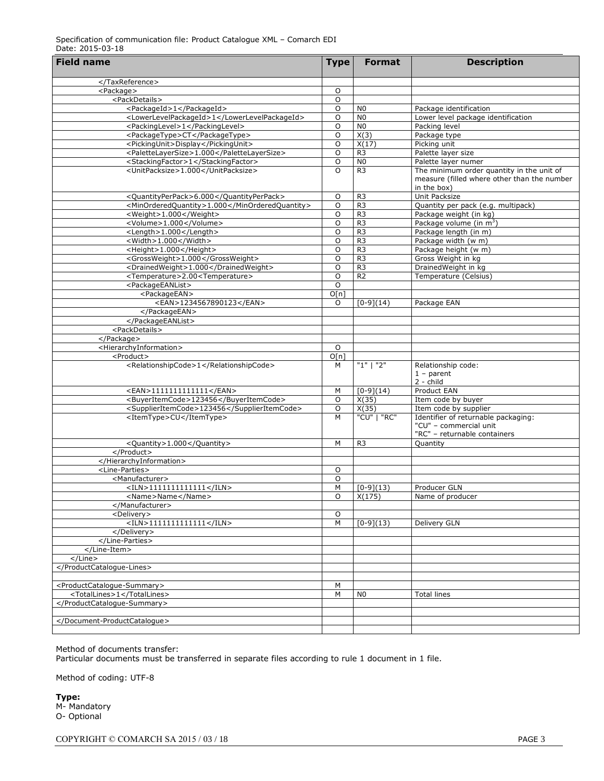## Specification of communication file: Product Catalogue XML – Comarch EDI Date: 2015-03-18

| <b>Field name</b>                                                                | <b>Type</b>    | <b>Format</b>                    | <b>Description</b>                                                                                      |
|----------------------------------------------------------------------------------|----------------|----------------------------------|---------------------------------------------------------------------------------------------------------|
|                                                                                  |                |                                  |                                                                                                         |
|                                                                                  |                |                                  |                                                                                                         |
| <package></package>                                                              | O              |                                  |                                                                                                         |
| <packdetails></packdetails>                                                      | O              |                                  |                                                                                                         |
| <packageid>1</packageid>                                                         | O              | N <sub>0</sub>                   | Package identification                                                                                  |
| <lowerlevelpackageid>1</lowerlevelpackageid>                                     | O              | N <sub>0</sub>                   | Lower level package identification                                                                      |
| <packinglevel>1</packinglevel>                                                   | O              | N <sub>0</sub>                   | Packing level                                                                                           |
| <packagetype>CT</packagetype>                                                    | O              | X(3)<br>X(17)                    | Package type                                                                                            |
| <pickingunit>Display</pickingunit>                                               | O              |                                  | Picking unit                                                                                            |
| <palettelayersize>1.000</palettelayersize><br><stackingfactor>1</stackingfactor> | O<br>O         | R <sub>3</sub><br>N <sub>0</sub> | Palette layer size<br>Palette layer numer                                                               |
| <unitpacksize>1.000</unitpacksize>                                               | $\circ$        | R <sub>3</sub>                   | The minimum order quantity in the unit of<br>measure (filled where other than the number<br>in the box) |
| <quantityperpack>6.000</quantityperpack>                                         | O              | R <sub>3</sub>                   | Unit Packsize                                                                                           |
| <minorderedquantity>1.000</minorderedquantity>                                   | O              | R <sub>3</sub>                   | Quantity per pack (e.g. multipack)                                                                      |
| <weight>1.000</weight>                                                           | O              | R <sub>3</sub>                   | Package weight (in kg)                                                                                  |
| <volume>1.000</volume>                                                           | O              | R <sub>3</sub>                   | Package volume (in $m^3$ )                                                                              |
| <length>1.000</length>                                                           | O              | R <sub>3</sub>                   | Package length (in m)                                                                                   |
| <width>1.000</width>                                                             | O              | R <sub>3</sub>                   | Package width (w m)                                                                                     |
| <height>1.000</height>                                                           | O              | R <sub>3</sub>                   | Package height (w m)                                                                                    |
| <grossweight>1.000</grossweight>                                                 | O              | R <sub>3</sub>                   | Gross Weight in kg                                                                                      |
| <drainedweight>1.000</drainedweight>                                             | O              | R <sub>3</sub>                   | DrainedWeight in kg                                                                                     |
| <temperature>2.00<temperature></temperature></temperature>                       | O              | R <sub>2</sub>                   | Temperature (Celsius)                                                                                   |
| <packageeanlist></packageeanlist>                                                | O              |                                  |                                                                                                         |
| <packageean></packageean>                                                        | O[n]           |                                  |                                                                                                         |
| <ean>1234567890123</ean>                                                         | O              | $[0-9](14)$                      | Package EAN                                                                                             |
|                                                                                  |                |                                  |                                                                                                         |
|                                                                                  |                |                                  |                                                                                                         |
| <packdetails></packdetails>                                                      |                |                                  |                                                                                                         |
|                                                                                  |                |                                  |                                                                                                         |
| <hierarchyinformation></hierarchyinformation>                                    | O              |                                  |                                                                                                         |
| <product></product>                                                              | O[n]           |                                  |                                                                                                         |
| <relationshipcode>1</relationshipcode>                                           | M              | "1" 1"2"                         | Relationship code:<br>$1$ - parent<br>$2 - child$                                                       |
| <ean>1111111111111</ean>                                                         | M              | $[0-9](14)$                      | Product EAN                                                                                             |
| <buyeritemcode>123456</buyeritemcode>                                            | O              | X(35)                            | Item code by buyer                                                                                      |
| <supplieritemcode>123456</supplieritemcode>                                      | O              | X(35)                            | Item code by supplier                                                                                   |
| <itemtype>CU</itemtype>                                                          | M              | "CU"   "RC"                      | Identifier of returnable packaging:<br>"CU" - commercial unit<br>"RC" - returnable containers           |
| <quantity>1.000</quantity>                                                       | M              | R <sub>3</sub>                   | Quantity                                                                                                |
|                                                                                  |                |                                  |                                                                                                         |
|                                                                                  |                |                                  |                                                                                                         |
| <line-parties></line-parties>                                                    | O              |                                  |                                                                                                         |
| <manufacturer></manufacturer>                                                    | O              |                                  |                                                                                                         |
| $<$ ILN>1111111111111                                                            | M              | $[0-9](13)$                      | Producer GLN                                                                                            |
| <name>Name</name>                                                                | O              | X(175)                           | Name of producer                                                                                        |
|                                                                                  |                |                                  |                                                                                                         |
| <delivery></delivery>                                                            | O              |                                  |                                                                                                         |
| $<$ ILN>11111111111111                                                           | $\overline{M}$ | $[0-9](13)$                      | <b>Delivery GLN</b>                                                                                     |
|                                                                                  |                |                                  |                                                                                                         |
|                                                                                  |                |                                  |                                                                                                         |
|                                                                                  |                |                                  |                                                                                                         |
|                                                                                  |                |                                  |                                                                                                         |
|                                                                                  |                |                                  |                                                                                                         |
|                                                                                  |                |                                  |                                                                                                         |
| <productcatalogue-summary></productcatalogue-summary>                            | M              |                                  |                                                                                                         |
| <totallines>1</totallines>                                                       | M              | N <sub>0</sub>                   | <b>Total lines</b>                                                                                      |
|                                                                                  |                |                                  |                                                                                                         |
|                                                                                  |                |                                  |                                                                                                         |
|                                                                                  |                |                                  |                                                                                                         |
|                                                                                  |                |                                  |                                                                                                         |

Method of documents transfer:

Particular documents must be transferred in separate files according to rule 1 document in 1 file.

Method of coding: UTF-8

**Type:** M- Mandatory O- Optional